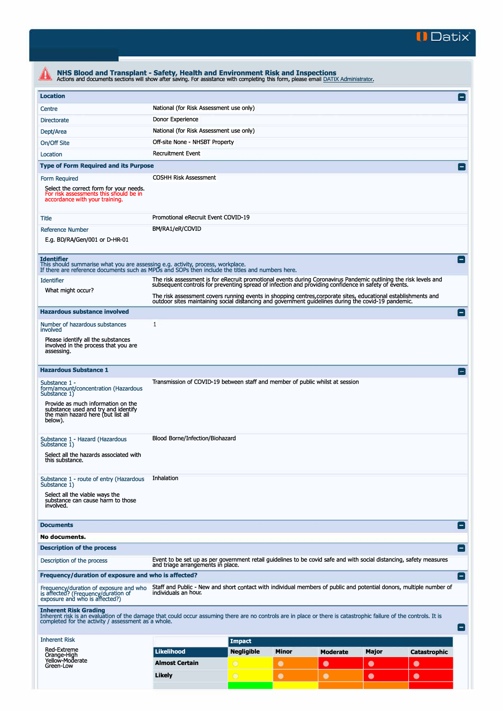

| <b>Location</b>                                                                                                                                                                                                                                                                                 |                                                                                                                                                                                                                          |               |           |                 |           |                     |
|-------------------------------------------------------------------------------------------------------------------------------------------------------------------------------------------------------------------------------------------------------------------------------------------------|--------------------------------------------------------------------------------------------------------------------------------------------------------------------------------------------------------------------------|---------------|-----------|-----------------|-----------|---------------------|
|                                                                                                                                                                                                                                                                                                 |                                                                                                                                                                                                                          |               |           |                 |           |                     |
| Centre                                                                                                                                                                                                                                                                                          | National (for Risk Assessment use only)                                                                                                                                                                                  |               |           |                 |           |                     |
| <b>Directorate</b>                                                                                                                                                                                                                                                                              | Donor Experience                                                                                                                                                                                                         |               |           |                 |           |                     |
| Dept/Area                                                                                                                                                                                                                                                                                       | National (for Risk Assessment use only)                                                                                                                                                                                  |               |           |                 |           |                     |
| On/Off Site                                                                                                                                                                                                                                                                                     | Off-site None - NHSBT Property                                                                                                                                                                                           |               |           |                 |           |                     |
| Location                                                                                                                                                                                                                                                                                        | <b>Recruitment Event</b>                                                                                                                                                                                                 |               |           |                 |           |                     |
| <b>Type of Form Required and its Purpose</b>                                                                                                                                                                                                                                                    |                                                                                                                                                                                                                          |               |           |                 |           |                     |
| Form Required<br>Select the correct form for your needs.<br>For risk assessments this should be in<br>accordance with your training.                                                                                                                                                            | <b>COSHH Risk Assessment</b>                                                                                                                                                                                             |               |           |                 |           |                     |
| Title                                                                                                                                                                                                                                                                                           | Promotional eRecruit Event COVID-19                                                                                                                                                                                      |               |           |                 |           |                     |
| <b>Reference Number</b><br>E.g. BD/RA/Gen/001 or D-HR-01                                                                                                                                                                                                                                        | BM/RA1/eR/COVID                                                                                                                                                                                                          |               |           |                 |           |                     |
| <b>Identifier</b><br>This should summarise what you are assessing e.g. activity, process, workplace.<br>If there are reference documents such as MPDs and SOPs then include the titles and numbers here.                                                                                        |                                                                                                                                                                                                                          |               |           |                 |           |                     |
| <b>Identifier</b>                                                                                                                                                                                                                                                                               | The risk assessment is for eRecruit promotional events during Coronavirus Pandemic outlining the risk levels and<br>subsequent controls for preventing spread of infection and providing confidence in safety of events. |               |           |                 |           |                     |
| What might occur?                                                                                                                                                                                                                                                                               | The risk assessment covers running events in shopping centres, corporate sites, educational establishments and<br>outdoor sites maintaining social distancing and government guidelines during the covid-19 pandemic.    |               |           |                 |           |                     |
| <b>Hazardous substance involved</b>                                                                                                                                                                                                                                                             |                                                                                                                                                                                                                          |               |           |                 |           |                     |
| Number of hazardous substances<br>involved<br>Please identify all the substances<br>involved in the process that you are                                                                                                                                                                        | 1                                                                                                                                                                                                                        |               |           |                 |           |                     |
| assessing.<br><b>Hazardous Substance 1</b>                                                                                                                                                                                                                                                      |                                                                                                                                                                                                                          |               |           |                 |           |                     |
| Substance 1 -<br>form/amount/concentration (Hazardous<br>Substance 1)<br>Provide as much information on the<br>substance used and try and identify<br>the main hazard here (but list all<br>below).                                                                                             | Transmission of COVID-19 between staff and member of public whilst at session                                                                                                                                            |               |           |                 |           |                     |
| Substance 1 - Hazard (Hazardous<br>Substance 1)<br>Select all the hazards associated with<br>this substance.                                                                                                                                                                                    | Blood Borne/Infection/Biohazard                                                                                                                                                                                          |               |           |                 |           |                     |
| Substance 1 - route of entry (Hazardous<br>Substance 1)<br>Select all the viable ways the<br>substance can cause harm to those<br>involved.                                                                                                                                                     | Inhalation                                                                                                                                                                                                               |               |           |                 |           |                     |
| <b>Documents</b>                                                                                                                                                                                                                                                                                |                                                                                                                                                                                                                          |               |           |                 |           |                     |
| No documents.                                                                                                                                                                                                                                                                                   |                                                                                                                                                                                                                          |               |           |                 |           |                     |
| <b>Description of the process</b>                                                                                                                                                                                                                                                               |                                                                                                                                                                                                                          |               |           |                 |           |                     |
| Description of the process                                                                                                                                                                                                                                                                      | Event to be set up as per government retail guidelines to be covid safe and with social distancing, safety measures<br>and triage arrangements in place.                                                                 |               |           |                 |           |                     |
| Frequency/duration of exposure and who is affected?                                                                                                                                                                                                                                             |                                                                                                                                                                                                                          |               |           |                 |           |                     |
| Frequency/duration of exposure and who Staff and Public - New and short contact with individual members of public and potential donors, multiple number of<br>is affected? (Frequency/duration of individuals an hour,<br>exposure a                                                            |                                                                                                                                                                                                                          |               |           |                 |           |                     |
| <b>Inherent Risk Grading</b>                                                                                                                                                                                                                                                                    |                                                                                                                                                                                                                          |               |           |                 |           |                     |
|                                                                                                                                                                                                                                                                                                 |                                                                                                                                                                                                                          |               |           |                 |           |                     |
|                                                                                                                                                                                                                                                                                                 |                                                                                                                                                                                                                          | <b>Impact</b> |           |                 |           |                     |
| <b>Red-Extreme</b>                                                                                                                                                                                                                                                                              | <b>Likelihood</b>                                                                                                                                                                                                        | Negligible    | Minor     | <b>Moderate</b> | Major     | <b>Catastrophic</b> |
| Inherent risk is an evaluation of the damage that could occur assuming there are no controls are in place or there is catastrophic failure of the controls. It is<br>completed for the activity / assessment as a whole.<br><b>Inherent Risk</b><br>Orange-High<br>Yellow-Moderate<br>Green-Low | <b>Almost Certain</b>                                                                                                                                                                                                    | O             | $\bullet$ | 0               | $\bullet$ | $\bullet$           |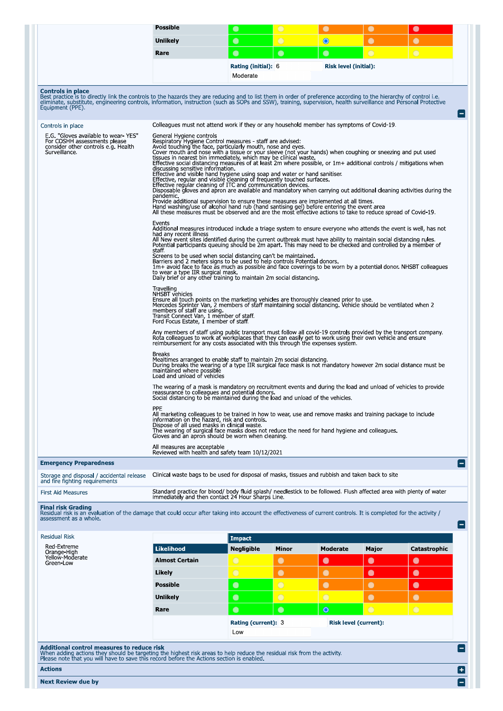| Unlikely<br>Rare<br><b>Controls in place</b><br>Best practice is to directly link the controls to the hazards they are reducing and to list them in order of preference according to the hierarchy of control i.e.<br>eliminate, substitute, engineering controls, information, instruction (such as SOPs and SSW), training, supervision, health surveillance and Personal Protective<br>Equipment (PPE).<br>Controls in place<br>E.G. "Gloves available to wear-YES"<br>For COSHH assessments please<br>consider other controls e.g. Health<br>Surveillance.<br>pandemic.<br>Events<br>staff<br>Travelling<br>PPE | discussing sensitive information.<br>had any recent illness<br>to wear a type IIR surgical mask.<br>NHSBT vehicles<br>members of staff are using.<br>Transit Connect Van, 1 member of staff.<br>Ford Focus Estate, 1 member of staff.                                                                                                                                                                                                                                                                                                                                                                                    | $\bullet$<br>$\bullet$<br><b>Rating (initial): 6</b><br>Moderate<br>Colleagues must not attend work if they or any household member has symptoms of Covid-19.<br>General Hygiene controls<br>Respiratory Hygiene Control measures - staff are advised:<br>Avoid touching the face, particularly mouth, nose and eyes.<br>Cover mouth and nose with a tissue or your sleeve (not your hands) when coughing or sneezing and put used<br>tissues in nearest bin immediately, which may be clinical waste.<br>Effective social distancing measures of at least 2m where possible, or 1m+ additional controls / mitigations when<br>Effective and visible hand hygiene using soap and water or hand sanitiser<br>Effective, regular and visible cleaning of frequently touched surfaces.<br>Effective regular cleaning of ITC and communication devices.<br>Disposable gloves and apron are available and mandatory when carrying out additional cleaning activities during the<br>Provide additional supervision to ensure these measures are implemented at all times.<br>Hand washing/use of alcohol hand rub (hand santising gel) before entering the event area<br>All these measures must be observed and are the most effective actions to take to reduce spread of Covid-19.<br>Additional measures introduced include a triage system to ensure everyone who attends the event is well, has not<br>All New event sites identified during the current outbreak must have ability to maintain social distancing rules<br>Potential participants queuing should be 2m apart. This may need to be checked and controlled by a member of<br>Screens to be used when social distancing can't be maintained.<br>Barriers and 2 meters signs to be used to help controls Potential donors.<br>1m+ avoid face to face as much as possible and face coverings to be worn by a potential donor. NHSBT colleagues<br>Daily brief or any other training to maintain 2m social distancing.<br>Ensure all touch points on the marketing vehicles are thoroughly cleaned prior to use.<br>Mercedes Sprinter Van, 2 members of staff maintaining social distancing. Vehicle should be ventilated when 2<br>Any members of staff using public transport must follow all covid-19 controls provided by the transport company<br>Rota colleagues to work at workplaces that they can easily get to work using their own vehicle and ensure reimbursement for any costs associated with this through the expenses system. | $\bigcirc$<br>$\bullet$                                                                                                                                                                                                                                             | $\bullet$<br>$\bullet$<br>Risk level (initial): | $\bullet$<br>$\bigcirc$      | $\bullet$<br>$\bigcirc$ |  |  |  |
|---------------------------------------------------------------------------------------------------------------------------------------------------------------------------------------------------------------------------------------------------------------------------------------------------------------------------------------------------------------------------------------------------------------------------------------------------------------------------------------------------------------------------------------------------------------------------------------------------------------------|--------------------------------------------------------------------------------------------------------------------------------------------------------------------------------------------------------------------------------------------------------------------------------------------------------------------------------------------------------------------------------------------------------------------------------------------------------------------------------------------------------------------------------------------------------------------------------------------------------------------------|----------------------------------------------------------------------------------------------------------------------------------------------------------------------------------------------------------------------------------------------------------------------------------------------------------------------------------------------------------------------------------------------------------------------------------------------------------------------------------------------------------------------------------------------------------------------------------------------------------------------------------------------------------------------------------------------------------------------------------------------------------------------------------------------------------------------------------------------------------------------------------------------------------------------------------------------------------------------------------------------------------------------------------------------------------------------------------------------------------------------------------------------------------------------------------------------------------------------------------------------------------------------------------------------------------------------------------------------------------------------------------------------------------------------------------------------------------------------------------------------------------------------------------------------------------------------------------------------------------------------------------------------------------------------------------------------------------------------------------------------------------------------------------------------------------------------------------------------------------------------------------------------------------------------------------------------------------------------------------------------------------------------------------------------------------------------------------------------------------------------------------------------------------------------------------------------------------------------------------------------------------------------------------------------------------------------------------------------------------------------------------------------------------------------------------------------------------------------------------------------------------|---------------------------------------------------------------------------------------------------------------------------------------------------------------------------------------------------------------------------------------------------------------------|-------------------------------------------------|------------------------------|-------------------------|--|--|--|
|                                                                                                                                                                                                                                                                                                                                                                                                                                                                                                                                                                                                                     |                                                                                                                                                                                                                                                                                                                                                                                                                                                                                                                                                                                                                          |                                                                                                                                                                                                                                                                                                                                                                                                                                                                                                                                                                                                                                                                                                                                                                                                                                                                                                                                                                                                                                                                                                                                                                                                                                                                                                                                                                                                                                                                                                                                                                                                                                                                                                                                                                                                                                                                                                                                                                                                                                                                                                                                                                                                                                                                                                                                                                                                                                                                                                          |                                                                                                                                                                                                                                                                     |                                                 |                              |                         |  |  |  |
|                                                                                                                                                                                                                                                                                                                                                                                                                                                                                                                                                                                                                     |                                                                                                                                                                                                                                                                                                                                                                                                                                                                                                                                                                                                                          |                                                                                                                                                                                                                                                                                                                                                                                                                                                                                                                                                                                                                                                                                                                                                                                                                                                                                                                                                                                                                                                                                                                                                                                                                                                                                                                                                                                                                                                                                                                                                                                                                                                                                                                                                                                                                                                                                                                                                                                                                                                                                                                                                                                                                                                                                                                                                                                                                                                                                                          |                                                                                                                                                                                                                                                                     |                                                 |                              |                         |  |  |  |
|                                                                                                                                                                                                                                                                                                                                                                                                                                                                                                                                                                                                                     |                                                                                                                                                                                                                                                                                                                                                                                                                                                                                                                                                                                                                          |                                                                                                                                                                                                                                                                                                                                                                                                                                                                                                                                                                                                                                                                                                                                                                                                                                                                                                                                                                                                                                                                                                                                                                                                                                                                                                                                                                                                                                                                                                                                                                                                                                                                                                                                                                                                                                                                                                                                                                                                                                                                                                                                                                                                                                                                                                                                                                                                                                                                                                          |                                                                                                                                                                                                                                                                     |                                                 |                              |                         |  |  |  |
|                                                                                                                                                                                                                                                                                                                                                                                                                                                                                                                                                                                                                     |                                                                                                                                                                                                                                                                                                                                                                                                                                                                                                                                                                                                                          |                                                                                                                                                                                                                                                                                                                                                                                                                                                                                                                                                                                                                                                                                                                                                                                                                                                                                                                                                                                                                                                                                                                                                                                                                                                                                                                                                                                                                                                                                                                                                                                                                                                                                                                                                                                                                                                                                                                                                                                                                                                                                                                                                                                                                                                                                                                                                                                                                                                                                                          |                                                                                                                                                                                                                                                                     |                                                 |                              |                         |  |  |  |
|                                                                                                                                                                                                                                                                                                                                                                                                                                                                                                                                                                                                                     |                                                                                                                                                                                                                                                                                                                                                                                                                                                                                                                                                                                                                          |                                                                                                                                                                                                                                                                                                                                                                                                                                                                                                                                                                                                                                                                                                                                                                                                                                                                                                                                                                                                                                                                                                                                                                                                                                                                                                                                                                                                                                                                                                                                                                                                                                                                                                                                                                                                                                                                                                                                                                                                                                                                                                                                                                                                                                                                                                                                                                                                                                                                                                          |                                                                                                                                                                                                                                                                     |                                                 |                              |                         |  |  |  |
|                                                                                                                                                                                                                                                                                                                                                                                                                                                                                                                                                                                                                     |                                                                                                                                                                                                                                                                                                                                                                                                                                                                                                                                                                                                                          |                                                                                                                                                                                                                                                                                                                                                                                                                                                                                                                                                                                                                                                                                                                                                                                                                                                                                                                                                                                                                                                                                                                                                                                                                                                                                                                                                                                                                                                                                                                                                                                                                                                                                                                                                                                                                                                                                                                                                                                                                                                                                                                                                                                                                                                                                                                                                                                                                                                                                                          |                                                                                                                                                                                                                                                                     |                                                 |                              |                         |  |  |  |
|                                                                                                                                                                                                                                                                                                                                                                                                                                                                                                                                                                                                                     |                                                                                                                                                                                                                                                                                                                                                                                                                                                                                                                                                                                                                          |                                                                                                                                                                                                                                                                                                                                                                                                                                                                                                                                                                                                                                                                                                                                                                                                                                                                                                                                                                                                                                                                                                                                                                                                                                                                                                                                                                                                                                                                                                                                                                                                                                                                                                                                                                                                                                                                                                                                                                                                                                                                                                                                                                                                                                                                                                                                                                                                                                                                                                          |                                                                                                                                                                                                                                                                     |                                                 |                              |                         |  |  |  |
|                                                                                                                                                                                                                                                                                                                                                                                                                                                                                                                                                                                                                     |                                                                                                                                                                                                                                                                                                                                                                                                                                                                                                                                                                                                                          |                                                                                                                                                                                                                                                                                                                                                                                                                                                                                                                                                                                                                                                                                                                                                                                                                                                                                                                                                                                                                                                                                                                                                                                                                                                                                                                                                                                                                                                                                                                                                                                                                                                                                                                                                                                                                                                                                                                                                                                                                                                                                                                                                                                                                                                                                                                                                                                                                                                                                                          |                                                                                                                                                                                                                                                                     |                                                 |                              |                         |  |  |  |
|                                                                                                                                                                                                                                                                                                                                                                                                                                                                                                                                                                                                                     |                                                                                                                                                                                                                                                                                                                                                                                                                                                                                                                                                                                                                          |                                                                                                                                                                                                                                                                                                                                                                                                                                                                                                                                                                                                                                                                                                                                                                                                                                                                                                                                                                                                                                                                                                                                                                                                                                                                                                                                                                                                                                                                                                                                                                                                                                                                                                                                                                                                                                                                                                                                                                                                                                                                                                                                                                                                                                                                                                                                                                                                                                                                                                          |                                                                                                                                                                                                                                                                     |                                                 |                              |                         |  |  |  |
|                                                                                                                                                                                                                                                                                                                                                                                                                                                                                                                                                                                                                     |                                                                                                                                                                                                                                                                                                                                                                                                                                                                                                                                                                                                                          |                                                                                                                                                                                                                                                                                                                                                                                                                                                                                                                                                                                                                                                                                                                                                                                                                                                                                                                                                                                                                                                                                                                                                                                                                                                                                                                                                                                                                                                                                                                                                                                                                                                                                                                                                                                                                                                                                                                                                                                                                                                                                                                                                                                                                                                                                                                                                                                                                                                                                                          |                                                                                                                                                                                                                                                                     |                                                 |                              |                         |  |  |  |
|                                                                                                                                                                                                                                                                                                                                                                                                                                                                                                                                                                                                                     |                                                                                                                                                                                                                                                                                                                                                                                                                                                                                                                                                                                                                          |                                                                                                                                                                                                                                                                                                                                                                                                                                                                                                                                                                                                                                                                                                                                                                                                                                                                                                                                                                                                                                                                                                                                                                                                                                                                                                                                                                                                                                                                                                                                                                                                                                                                                                                                                                                                                                                                                                                                                                                                                                                                                                                                                                                                                                                                                                                                                                                                                                                                                                          | <b>Breaks</b><br>Mealtimes arranged to enable staff to maintain 2m social distancing.<br>During breaks the wearing of a type IIR surgical face mask is not mandatory however 2m social distance must be<br>maintained where possible<br>Load and unload of vehicles |                                                 |                              |                         |  |  |  |
|                                                                                                                                                                                                                                                                                                                                                                                                                                                                                                                                                                                                                     | The wearing of a mask is mandatory on recruitment events and during the load and unload of vehicles to provide<br>reassurance to colleagues and potential donors.<br>Social distancing to be maintained during the load and unload of the vehicles.<br>All marketing colleagues to be trained in how to wear, use and remove masks and training package to include<br>information on the hazard, risk and controls.<br>Dispose of all used masks in clinical waste.<br>The wearing of surgical face masks does not reduce the need for hand hygiene and colleagues.<br>Gloves and an apron should be worn when cleaning. |                                                                                                                                                                                                                                                                                                                                                                                                                                                                                                                                                                                                                                                                                                                                                                                                                                                                                                                                                                                                                                                                                                                                                                                                                                                                                                                                                                                                                                                                                                                                                                                                                                                                                                                                                                                                                                                                                                                                                                                                                                                                                                                                                                                                                                                                                                                                                                                                                                                                                                          |                                                                                                                                                                                                                                                                     |                                                 |                              |                         |  |  |  |
|                                                                                                                                                                                                                                                                                                                                                                                                                                                                                                                                                                                                                     |                                                                                                                                                                                                                                                                                                                                                                                                                                                                                                                                                                                                                          |                                                                                                                                                                                                                                                                                                                                                                                                                                                                                                                                                                                                                                                                                                                                                                                                                                                                                                                                                                                                                                                                                                                                                                                                                                                                                                                                                                                                                                                                                                                                                                                                                                                                                                                                                                                                                                                                                                                                                                                                                                                                                                                                                                                                                                                                                                                                                                                                                                                                                                          |                                                                                                                                                                                                                                                                     |                                                 |                              |                         |  |  |  |
|                                                                                                                                                                                                                                                                                                                                                                                                                                                                                                                                                                                                                     | All measures are acceptable                                                                                                                                                                                                                                                                                                                                                                                                                                                                                                                                                                                              | Reviewed with health and safety team 10/12/2021                                                                                                                                                                                                                                                                                                                                                                                                                                                                                                                                                                                                                                                                                                                                                                                                                                                                                                                                                                                                                                                                                                                                                                                                                                                                                                                                                                                                                                                                                                                                                                                                                                                                                                                                                                                                                                                                                                                                                                                                                                                                                                                                                                                                                                                                                                                                                                                                                                                          |                                                                                                                                                                                                                                                                     |                                                 |                              |                         |  |  |  |
| <b>Emergency Preparedness</b>                                                                                                                                                                                                                                                                                                                                                                                                                                                                                                                                                                                       |                                                                                                                                                                                                                                                                                                                                                                                                                                                                                                                                                                                                                          |                                                                                                                                                                                                                                                                                                                                                                                                                                                                                                                                                                                                                                                                                                                                                                                                                                                                                                                                                                                                                                                                                                                                                                                                                                                                                                                                                                                                                                                                                                                                                                                                                                                                                                                                                                                                                                                                                                                                                                                                                                                                                                                                                                                                                                                                                                                                                                                                                                                                                                          |                                                                                                                                                                                                                                                                     |                                                 |                              |                         |  |  |  |
| Storage and disposal / accidental release<br>and fire fighting requirements                                                                                                                                                                                                                                                                                                                                                                                                                                                                                                                                         |                                                                                                                                                                                                                                                                                                                                                                                                                                                                                                                                                                                                                          | Clinical waste bags to be used for disposal of masks, tissues and rubbish and taken back to site                                                                                                                                                                                                                                                                                                                                                                                                                                                                                                                                                                                                                                                                                                                                                                                                                                                                                                                                                                                                                                                                                                                                                                                                                                                                                                                                                                                                                                                                                                                                                                                                                                                                                                                                                                                                                                                                                                                                                                                                                                                                                                                                                                                                                                                                                                                                                                                                         |                                                                                                                                                                                                                                                                     |                                                 |                              |                         |  |  |  |
| <b>First Aid Measures</b>                                                                                                                                                                                                                                                                                                                                                                                                                                                                                                                                                                                           |                                                                                                                                                                                                                                                                                                                                                                                                                                                                                                                                                                                                                          | Standard practice for blood/ body fluid splash/ needlestick to be followed. Flush affected area with plenty of water                                                                                                                                                                                                                                                                                                                                                                                                                                                                                                                                                                                                                                                                                                                                                                                                                                                                                                                                                                                                                                                                                                                                                                                                                                                                                                                                                                                                                                                                                                                                                                                                                                                                                                                                                                                                                                                                                                                                                                                                                                                                                                                                                                                                                                                                                                                                                                                     |                                                                                                                                                                                                                                                                     |                                                 |                              |                         |  |  |  |
| <b>Final risk Grading</b><br>Residual risk is an evaluation of the damage that could occur after taking into account the effectiveness of current controls. It is completed for the activity /<br>assessment as a whole.                                                                                                                                                                                                                                                                                                                                                                                            |                                                                                                                                                                                                                                                                                                                                                                                                                                                                                                                                                                                                                          | immediately and then contact 24 Hour Sharps Line                                                                                                                                                                                                                                                                                                                                                                                                                                                                                                                                                                                                                                                                                                                                                                                                                                                                                                                                                                                                                                                                                                                                                                                                                                                                                                                                                                                                                                                                                                                                                                                                                                                                                                                                                                                                                                                                                                                                                                                                                                                                                                                                                                                                                                                                                                                                                                                                                                                         |                                                                                                                                                                                                                                                                     |                                                 |                              |                         |  |  |  |
| <b>Residual Risk</b>                                                                                                                                                                                                                                                                                                                                                                                                                                                                                                                                                                                                |                                                                                                                                                                                                                                                                                                                                                                                                                                                                                                                                                                                                                          | <b>Impact</b>                                                                                                                                                                                                                                                                                                                                                                                                                                                                                                                                                                                                                                                                                                                                                                                                                                                                                                                                                                                                                                                                                                                                                                                                                                                                                                                                                                                                                                                                                                                                                                                                                                                                                                                                                                                                                                                                                                                                                                                                                                                                                                                                                                                                                                                                                                                                                                                                                                                                                            |                                                                                                                                                                                                                                                                     |                                                 |                              |                         |  |  |  |
| Red-Extreme<br>Orange-High                                                                                                                                                                                                                                                                                                                                                                                                                                                                                                                                                                                          | <b>Likelihood</b>                                                                                                                                                                                                                                                                                                                                                                                                                                                                                                                                                                                                        | <b>Negligible</b>                                                                                                                                                                                                                                                                                                                                                                                                                                                                                                                                                                                                                                                                                                                                                                                                                                                                                                                                                                                                                                                                                                                                                                                                                                                                                                                                                                                                                                                                                                                                                                                                                                                                                                                                                                                                                                                                                                                                                                                                                                                                                                                                                                                                                                                                                                                                                                                                                                                                                        | <b>Minor</b>                                                                                                                                                                                                                                                        | <b>Moderate</b>                                 | Major                        | Catastrophic            |  |  |  |
| Yellow-Moderate<br>Green-Low                                                                                                                                                                                                                                                                                                                                                                                                                                                                                                                                                                                        | <b>Almost Certain</b>                                                                                                                                                                                                                                                                                                                                                                                                                                                                                                                                                                                                    | $\bigcirc$                                                                                                                                                                                                                                                                                                                                                                                                                                                                                                                                                                                                                                                                                                                                                                                                                                                                                                                                                                                                                                                                                                                                                                                                                                                                                                                                                                                                                                                                                                                                                                                                                                                                                                                                                                                                                                                                                                                                                                                                                                                                                                                                                                                                                                                                                                                                                                                                                                                                                               | $\bullet$                                                                                                                                                                                                                                                           | $\bullet$                                       | $\bullet$                    | $\bullet$               |  |  |  |
| Likely                                                                                                                                                                                                                                                                                                                                                                                                                                                                                                                                                                                                              |                                                                                                                                                                                                                                                                                                                                                                                                                                                                                                                                                                                                                          | $\overline{O}$                                                                                                                                                                                                                                                                                                                                                                                                                                                                                                                                                                                                                                                                                                                                                                                                                                                                                                                                                                                                                                                                                                                                                                                                                                                                                                                                                                                                                                                                                                                                                                                                                                                                                                                                                                                                                                                                                                                                                                                                                                                                                                                                                                                                                                                                                                                                                                                                                                                                                           | $\bullet$                                                                                                                                                                                                                                                           | $\bullet$                                       | $\bullet$                    | $\bullet$               |  |  |  |
| <b>Possible</b>                                                                                                                                                                                                                                                                                                                                                                                                                                                                                                                                                                                                     |                                                                                                                                                                                                                                                                                                                                                                                                                                                                                                                                                                                                                          | $\bullet$                                                                                                                                                                                                                                                                                                                                                                                                                                                                                                                                                                                                                                                                                                                                                                                                                                                                                                                                                                                                                                                                                                                                                                                                                                                                                                                                                                                                                                                                                                                                                                                                                                                                                                                                                                                                                                                                                                                                                                                                                                                                                                                                                                                                                                                                                                                                                                                                                                                                                                | $\bigcirc$                                                                                                                                                                                                                                                          | $\bullet$                                       | $\bullet$                    | $\bullet$               |  |  |  |
| <b>Unlikely</b>                                                                                                                                                                                                                                                                                                                                                                                                                                                                                                                                                                                                     |                                                                                                                                                                                                                                                                                                                                                                                                                                                                                                                                                                                                                          | $\bullet$                                                                                                                                                                                                                                                                                                                                                                                                                                                                                                                                                                                                                                                                                                                                                                                                                                                                                                                                                                                                                                                                                                                                                                                                                                                                                                                                                                                                                                                                                                                                                                                                                                                                                                                                                                                                                                                                                                                                                                                                                                                                                                                                                                                                                                                                                                                                                                                                                                                                                                | $\bigcirc$                                                                                                                                                                                                                                                          | $\bigcirc$                                      | $\bullet$                    | $\bullet$               |  |  |  |
| Rare                                                                                                                                                                                                                                                                                                                                                                                                                                                                                                                                                                                                                |                                                                                                                                                                                                                                                                                                                                                                                                                                                                                                                                                                                                                          |                                                                                                                                                                                                                                                                                                                                                                                                                                                                                                                                                                                                                                                                                                                                                                                                                                                                                                                                                                                                                                                                                                                                                                                                                                                                                                                                                                                                                                                                                                                                                                                                                                                                                                                                                                                                                                                                                                                                                                                                                                                                                                                                                                                                                                                                                                                                                                                                                                                                                                          |                                                                                                                                                                                                                                                                     |                                                 | $\bigcirc$                   |                         |  |  |  |
|                                                                                                                                                                                                                                                                                                                                                                                                                                                                                                                                                                                                                     |                                                                                                                                                                                                                                                                                                                                                                                                                                                                                                                                                                                                                          |                                                                                                                                                                                                                                                                                                                                                                                                                                                                                                                                                                                                                                                                                                                                                                                                                                                                                                                                                                                                                                                                                                                                                                                                                                                                                                                                                                                                                                                                                                                                                                                                                                                                                                                                                                                                                                                                                                                                                                                                                                                                                                                                                                                                                                                                                                                                                                                                                                                                                                          |                                                                                                                                                                                                                                                                     |                                                 |                              |                         |  |  |  |
|                                                                                                                                                                                                                                                                                                                                                                                                                                                                                                                                                                                                                     |                                                                                                                                                                                                                                                                                                                                                                                                                                                                                                                                                                                                                          | $\bullet$                                                                                                                                                                                                                                                                                                                                                                                                                                                                                                                                                                                                                                                                                                                                                                                                                                                                                                                                                                                                                                                                                                                                                                                                                                                                                                                                                                                                                                                                                                                                                                                                                                                                                                                                                                                                                                                                                                                                                                                                                                                                                                                                                                                                                                                                                                                                                                                                                                                                                                | $\bullet$                                                                                                                                                                                                                                                           | $\circ$                                         |                              | $\bigcirc$              |  |  |  |
|                                                                                                                                                                                                                                                                                                                                                                                                                                                                                                                                                                                                                     |                                                                                                                                                                                                                                                                                                                                                                                                                                                                                                                                                                                                                          | Rating (current): 3<br>Low                                                                                                                                                                                                                                                                                                                                                                                                                                                                                                                                                                                                                                                                                                                                                                                                                                                                                                                                                                                                                                                                                                                                                                                                                                                                                                                                                                                                                                                                                                                                                                                                                                                                                                                                                                                                                                                                                                                                                                                                                                                                                                                                                                                                                                                                                                                                                                                                                                                                               |                                                                                                                                                                                                                                                                     |                                                 | <b>Risk level (current):</b> |                         |  |  |  |

듬